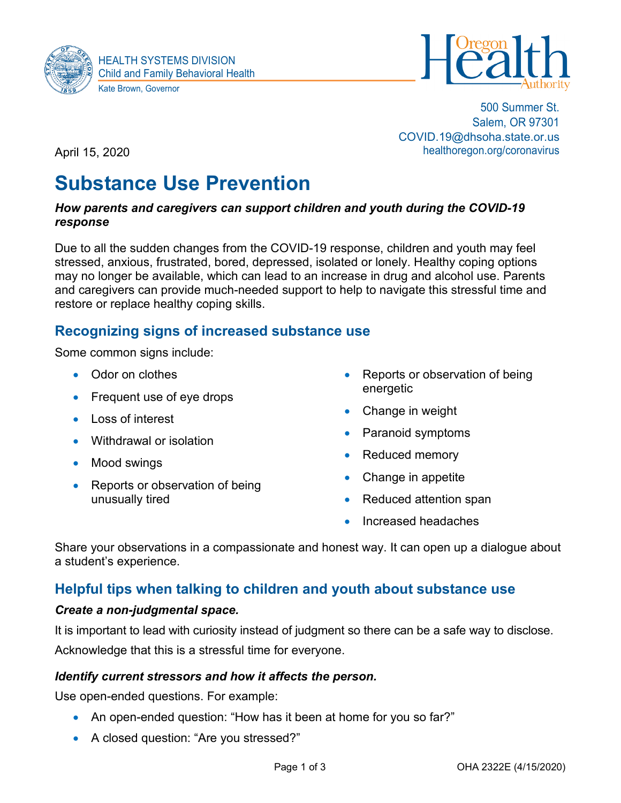



500 Summer St. Salem, OR 97301 COVID.19@dhsoha.state.or.us healthoregon.org/coronavirus

April 15, 2020

# **Substance Use Prevention**

#### *How parents and caregivers can support children and youth during the COVID-19 response*

Due to all the sudden changes from the COVID-19 response, children and youth may feel stressed, anxious, frustrated, bored, depressed, isolated or lonely. Healthy coping options may no longer be available, which can lead to an increase in drug and alcohol use. Parents and caregivers can provide much-needed support to help to navigate this stressful time and restore or replace healthy coping skills.

# **Recognizing signs of increased substance use**

Some common signs include:

- Odor on clothes
- Frequent use of eye drops
- Loss of interest
- Withdrawal or isolation
- Mood swings
- Reports or observation of being unusually tired
- Reports or observation of being energetic
- Change in weight
- Paranoid symptoms
- Reduced memory
- Change in appetite
- Reduced attention span
- Increased headaches

Share your observations in a compassionate and honest way. It can open up a dialogue about a student's experience.

# **Helpful tips when talking to children and youth about substance use**

## *Create a non-judgmental space.*

It is important to lead with curiosity instead of judgment so there can be a safe way to disclose.

Acknowledge that this is a stressful time for everyone.

#### *Identify current stressors and how it affects the person.*

Use open-ended questions. For example:

- An open-ended question: "How has it been at home for you so far?"
- A closed question: "Are you stressed?"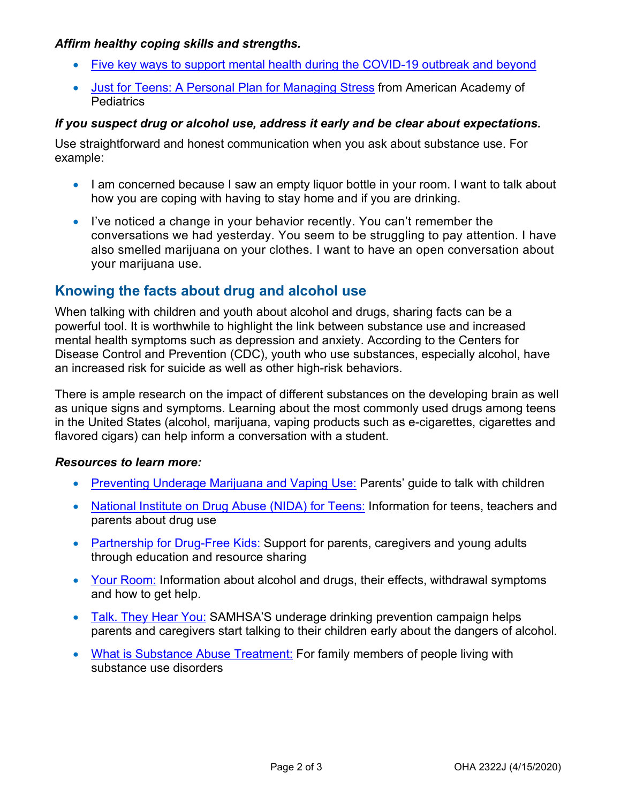## *Affirm healthy coping skills and strengths.*

- [Five key ways to support mental health during the COVID-19 outbreak and beyond](https://www.oregon.gov/ode/students-and-family/healthsafety/Documents/1.%20Five%20key%20ways.pdf)
- [Just for Teens: A Personal Plan for Managing Stress](https://www.aap.org/en-us/professional-resources/Reaching-Teens/Documents/Private/Personal_plan_handout.pdf) from American Academy of **Pediatrics**

## *If you suspect drug or alcohol use, address it early and be clear about expectations.*

Use straightforward and honest communication when you ask about substance use. For example:

- I am concerned because I saw an empty liquor bottle in your room. I want to talk about how you are coping with having to stay home and if you are drinking.
- I've noticed a change in your behavior recently. You can't remember the conversations we had yesterday. You seem to be struggling to pay attention. I have also smelled marijuana on your clothes. I want to have an open conversation about your marijuana use.

# **Knowing the facts about drug and alcohol use**

When talking with children and youth about alcohol and drugs, sharing facts can be a powerful tool. It is worthwhile to highlight the link between substance use and increased mental health symptoms such as depression and anxiety. According to the Centers for Disease Control and Prevention (CDC), youth who use substances, especially alcohol, have an increased risk for suicide as well as other high-risk behaviors.

There is ample research on the impact of different substances on the developing brain as well as unique signs and symptoms. Learning about the most commonly used drugs among teens in the United States (alcohol, marijuana, vaping products such as e-cigarettes, cigarettes and flavored cigars) can help inform a conversation with a student.

#### *Resources to learn more:*

- [Preventing Underage Marijuana and Vaping Use:](https://static1.squarespace.com/static/57ae066d1b631b641df797fe/t/5dfbfddbf39ad44cb0b5f392/1576795644500/Parent-Guide_English.pdf) Parents' guide to talk with children
- [National Institute on Drug Abuse \(NIDA\) for Teens:](http://teens.drugabuse.gov/) Information for teens, teachers and parents about drug use
- [Partnership for Drug-Free Kids:](http://drugfree.org/) Support for parents, caregivers and young adults through education and resource sharing
- [Your Room:](https://yourroom.health.nsw.gov.au/Pages/home.aspx) Information about alcohol and drugs, their effects, withdrawal symptoms and how to get help.
- [Talk. They Hear You:](http://samhsa.gov/underage-drinking) SAMHSA'S underage drinking prevention campaign helps parents and caregivers start talking to their children early about the dangers of alcohol.
- [What is Substance Abuse Treatment:](https://store.samhsa.gov/product/What-Is-Substance-Abuse-Treatment-A-Booklet-for-Families/SMA14-4126) For family members of people living with substance use disorders